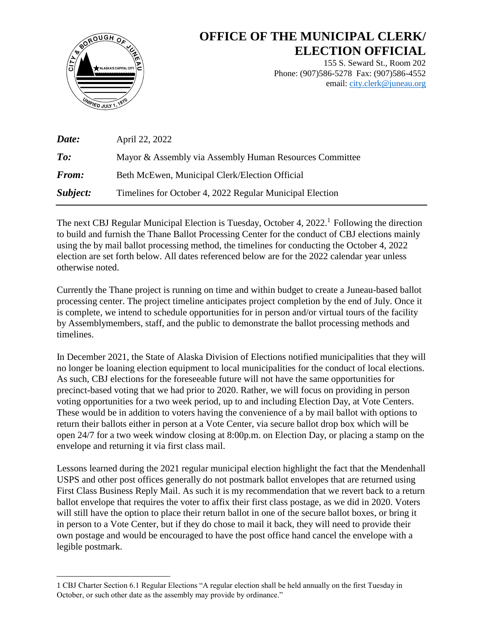

 $\overline{a}$ 

# **OFFICE OF THE MUNICIPAL CLERK/ ELECTION OFFICIAL**

155 S. Seward St., Room 202 Phone: (907)586-5278 Fax: (907)586-4552 email: [city.clerk@juneau.org](mailto:city.clerk@juneau.org)

| Date:                        | April 22, 2022                                           |
|------------------------------|----------------------------------------------------------|
| $\boldsymbol{\mathit{To}}$ : | Mayor & Assembly via Assembly Human Resources Committee  |
| From:                        | Beth McEwen, Municipal Clerk/Election Official           |
| Subject:                     | Timelines for October 4, 2022 Regular Municipal Election |

The next CBJ Regular Municipal Election is Tuesday, October 4, 2022.<sup>1</sup> Following the direction to build and furnish the Thane Ballot Processing Center for the conduct of CBJ elections mainly using the by mail ballot processing method, the timelines for conducting the October 4, 2022 election are set forth below. All dates referenced below are for the 2022 calendar year unless otherwise noted.

Currently the Thane project is running on time and within budget to create a Juneau-based ballot processing center. The project timeline anticipates project completion by the end of July. Once it is complete, we intend to schedule opportunities for in person and/or virtual tours of the facility by Assemblymembers, staff, and the public to demonstrate the ballot processing methods and timelines.

In December 2021, the State of Alaska Division of Elections notified municipalities that they will no longer be loaning election equipment to local municipalities for the conduct of local elections. As such, CBJ elections for the foreseeable future will not have the same opportunities for precinct-based voting that we had prior to 2020. Rather, we will focus on providing in person voting opportunities for a two week period, up to and including Election Day, at Vote Centers. These would be in addition to voters having the convenience of a by mail ballot with options to return their ballots either in person at a Vote Center, via secure ballot drop box which will be open 24/7 for a two week window closing at 8:00p.m. on Election Day, or placing a stamp on the envelope and returning it via first class mail.

Lessons learned during the 2021 regular municipal election highlight the fact that the Mendenhall USPS and other post offices generally do not postmark ballot envelopes that are returned using First Class Business Reply Mail. As such it is my recommendation that we revert back to a return ballot envelope that requires the voter to affix their first class postage, as we did in 2020. Voters will still have the option to place their return ballot in one of the secure ballot boxes, or bring it in person to a Vote Center, but if they do chose to mail it back, they will need to provide their own postage and would be encouraged to have the post office hand cancel the envelope with a legible postmark.

<sup>1</sup> CBJ Charter Section 6.1 Regular Elections "A regular election shall be held annually on the first Tuesday in October, or such other date as the assembly may provide by ordinance."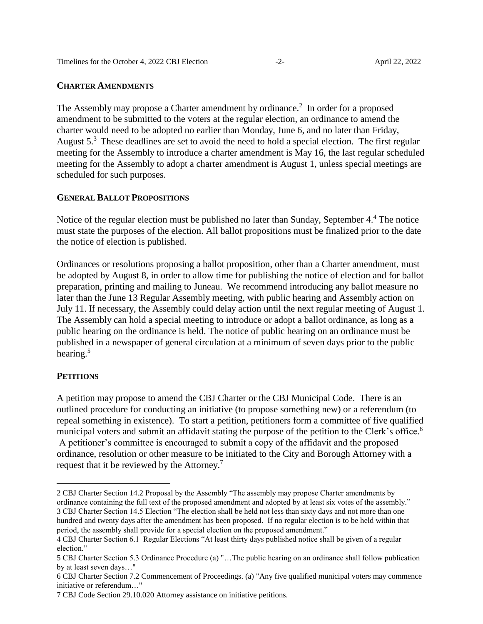#### **CHARTER AMENDMENTS**

The Assembly may propose a Charter amendment by ordinance.<sup>2</sup> In order for a proposed amendment to be submitted to the voters at the regular election, an ordinance to amend the charter would need to be adopted no earlier than Monday, June 6, and no later than Friday, August 5.<sup>3</sup> These deadlines are set to avoid the need to hold a special election. The first regular meeting for the Assembly to introduce a charter amendment is May 16, the last regular scheduled meeting for the Assembly to adopt a charter amendment is August 1, unless special meetings are scheduled for such purposes.

## **GENERAL BALLOT PROPOSITIONS**

Notice of the regular election must be published no later than Sunday, September 4.<sup>4</sup> The notice must state the purposes of the election. All ballot propositions must be finalized prior to the date the notice of election is published.

Ordinances or resolutions proposing a ballot proposition, other than a Charter amendment, must be adopted by August 8, in order to allow time for publishing the notice of election and for ballot preparation, printing and mailing to Juneau. We recommend introducing any ballot measure no later than the June 13 Regular Assembly meeting, with public hearing and Assembly action on July 11. If necessary, the Assembly could delay action until the next regular meeting of August 1. The Assembly can hold a special meeting to introduce or adopt a ballot ordinance, as long as a public hearing on the ordinance is held. The notice of public hearing on an ordinance must be published in a newspaper of general circulation at a minimum of seven days prior to the public hearing.<sup>5</sup>

#### **PETITIONS**

 $\overline{a}$ 

A petition may propose to amend the CBJ Charter or the CBJ Municipal Code. There is an outlined procedure for conducting an initiative (to propose something new) or a referendum (to repeal something in existence). To start a petition, petitioners form a committee of five qualified municipal voters and submit an affidavit stating the purpose of the petition to the Clerk's office.<sup>6</sup> A petitioner's committee is encouraged to submit a copy of the affidavit and the proposed ordinance, resolution or other measure to be initiated to the City and Borough Attorney with a request that it be reviewed by the Attorney.<sup>7</sup>

<sup>2</sup> CBJ Charter Section 14.2 Proposal by the Assembly "The assembly may propose Charter amendments by ordinance containing the full text of the proposed amendment and adopted by at least six votes of the assembly." 3 CBJ Charter Section 14.5 Election "The election shall be held not less than sixty days and not more than one hundred and twenty days after the amendment has been proposed. If no regular election is to be held within that period, the assembly shall provide for a special election on the proposed amendment."

<sup>4</sup> CBJ Charter Section 6.1 Regular Elections "At least thirty days published notice shall be given of a regular election."

<sup>5</sup> CBJ Charter Section 5.3 Ordinance Procedure (a) "…The public hearing on an ordinance shall follow publication by at least seven days…"

<sup>6</sup> CBJ Charter Section 7.2 Commencement of Proceedings. (a) "Any five qualified municipal voters may commence initiative or referendum…"

<sup>7</sup> CBJ Code Section 29.10.020 Attorney assistance on initiative petitions.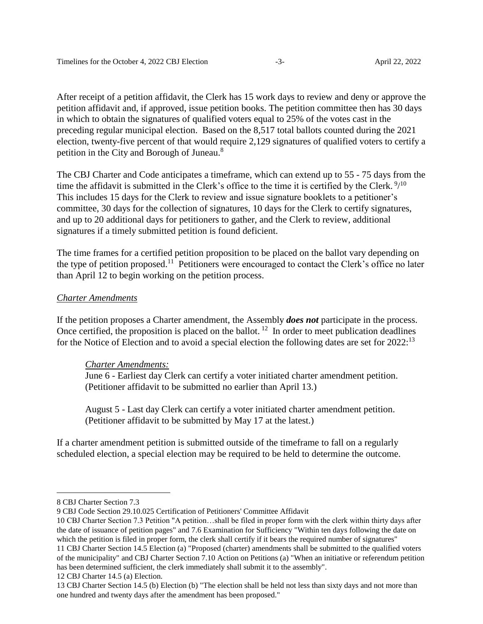After receipt of a petition affidavit, the Clerk has 15 work days to review and deny or approve the petition affidavit and, if approved, issue petition books. The petition committee then has 30 days in which to obtain the signatures of qualified voters equal to 25% of the votes cast in the preceding regular municipal election. Based on the 8,517 total ballots counted during the 2021 election, twenty-five percent of that would require 2,129 signatures of qualified voters to certify a petition in the City and Borough of Juneau.<sup>8</sup>

The CBJ Charter and Code anticipates a timeframe, which can extend up to 55 - 75 days from the time the affidavit is submitted in the Clerk's office to the time it is certified by the Clerk.  $\frac{9}{10}$ This includes 15 days for the Clerk to review and issue signature booklets to a petitioner's committee, 30 days for the collection of signatures, 10 days for the Clerk to certify signatures, and up to 20 additional days for petitioners to gather, and the Clerk to review, additional signatures if a timely submitted petition is found deficient.

The time frames for a certified petition proposition to be placed on the ballot vary depending on the type of petition proposed.<sup>11</sup> Petitioners were encouraged to contact the Clerk's office no later than April 12 to begin working on the petition process.

## *Charter Amendments*

If the petition proposes a Charter amendment, the Assembly *does not* participate in the process. Once certified, the proposition is placed on the ballot.  $12$  In order to meet publication deadlines for the Notice of Election and to avoid a special election the following dates are set for 2022:<sup>13</sup>

## *Charter Amendments:*

June 6 - Earliest day Clerk can certify a voter initiated charter amendment petition. (Petitioner affidavit to be submitted no earlier than April 13.)

August 5 - Last day Clerk can certify a voter initiated charter amendment petition. (Petitioner affidavit to be submitted by May 17 at the latest.)

If a charter amendment petition is submitted outside of the timeframe to fall on a regularly scheduled election, a special election may be required to be held to determine the outcome.

 $\overline{a}$ 

<sup>8</sup> CBJ Charter Section 7.3

<sup>9</sup> CBJ Code Section 29.10.025 Certification of Petitioners' Committee Affidavit

<sup>10</sup> CBJ Charter Section 7.3 Petition "A petition…shall be filed in proper form with the clerk within thirty days after the date of issuance of petition pages" and 7.6 Examination for Sufficiency "Within ten days following the date on which the petition is filed in proper form, the clerk shall certify if it bears the required number of signatures"

<sup>11</sup> CBJ Charter Section 14.5 Election (a) "Proposed (charter) amendments shall be submitted to the qualified voters of the municipality" and CBJ Charter Section 7.10 Action on Petitions (a) "When an initiative or referendum petition has been determined sufficient, the clerk immediately shall submit it to the assembly".

<sup>12</sup> CBJ Charter 14.5 (a) Election.

<sup>13</sup> CBJ Charter Section 14.5 (b) Election (b) "The election shall be held not less than sixty days and not more than one hundred and twenty days after the amendment has been proposed."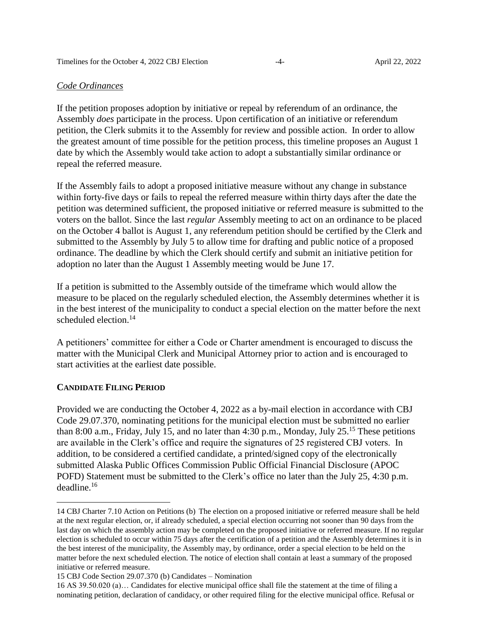#### *Code Ordinances*

If the petition proposes adoption by initiative or repeal by referendum of an ordinance, the Assembly *does* participate in the process. Upon certification of an initiative or referendum petition, the Clerk submits it to the Assembly for review and possible action. In order to allow the greatest amount of time possible for the petition process, this timeline proposes an August 1 date by which the Assembly would take action to adopt a substantially similar ordinance or repeal the referred measure.

If the Assembly fails to adopt a proposed initiative measure without any change in substance within forty-five days or fails to repeal the referred measure within thirty days after the date the petition was determined sufficient, the proposed initiative or referred measure is submitted to the voters on the ballot. Since the last *regular* Assembly meeting to act on an ordinance to be placed on the October 4 ballot is August 1, any referendum petition should be certified by the Clerk and submitted to the Assembly by July 5 to allow time for drafting and public notice of a proposed ordinance. The deadline by which the Clerk should certify and submit an initiative petition for adoption no later than the August 1 Assembly meeting would be June 17.

If a petition is submitted to the Assembly outside of the timeframe which would allow the measure to be placed on the regularly scheduled election, the Assembly determines whether it is in the best interest of the municipality to conduct a special election on the matter before the next scheduled election.<sup>14</sup>

A petitioners' committee for either a Code or Charter amendment is encouraged to discuss the matter with the Municipal Clerk and Municipal Attorney prior to action and is encouraged to start activities at the earliest date possible.

## **CANDIDATE FILING PERIOD**

 $\overline{a}$ 

Provided we are conducting the October 4, 2022 as a by-mail election in accordance with CBJ Code 29.07.370, nominating petitions for the municipal election must be submitted no earlier than 8:00 a.m., Friday, July 15, and no later than  $4:30$  p.m., Monday, July  $25.^{15}$  These petitions are available in the Clerk's office and require the signatures of 25 registered CBJ voters. In addition, to be considered a certified candidate, a printed/signed copy of the electronically submitted Alaska Public Offices Commission Public Official Financial Disclosure (APOC POFD) Statement must be submitted to the Clerk's office no later than the July 25, 4:30 p.m. deadline.<sup>16</sup>

<sup>14</sup> CBJ Charter 7.10 Action on Petitions (b) The election on a proposed initiative or referred measure shall be held at the next regular election, or, if already scheduled, a special election occurring not sooner than 90 days from the last day on which the assembly action may be completed on the proposed initiative or referred measure. If no regular election is scheduled to occur within 75 days after the certification of a petition and the Assembly determines it is in the best interest of the municipality, the Assembly may, by ordinance, order a special election to be held on the matter before the next scheduled election. The notice of election shall contain at least a summary of the proposed initiative or referred measure.

<sup>15</sup> CBJ Code Section 29.07.370 (b) Candidates – Nomination

<sup>16</sup> AS 39.50.020 (a)… Candidates for elective municipal office shall file the statement at the time of filing a nominating petition, declaration of candidacy, or other required filing for the elective municipal office. Refusal or